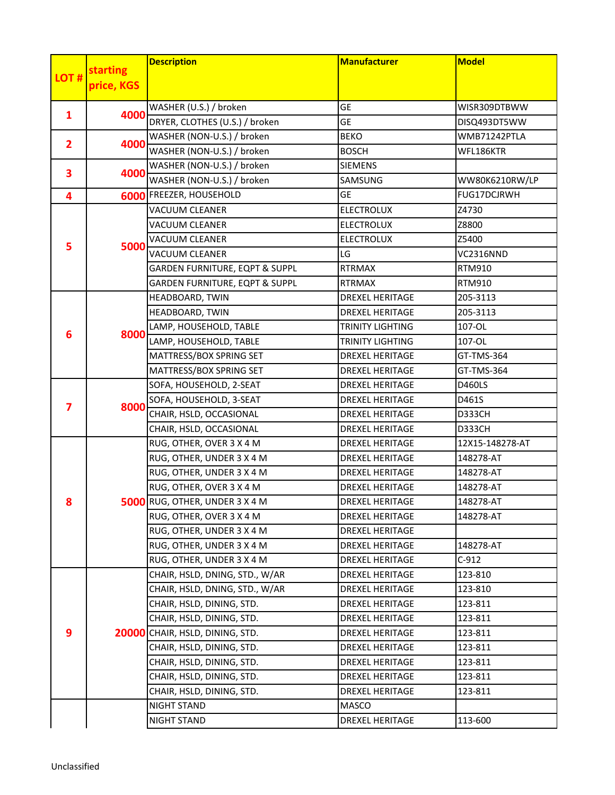| starting<br>LOT#<br>price, KGS<br>WASHER (U.S.) / broken<br><b>GE</b><br>WISR309DTBWW<br>4000<br>1<br>DRYER, CLOTHES (U.S.) / broken<br>GE<br>DISQ493DT5WW<br>WASHER (NON-U.S.) / broken<br><b>BEKO</b><br>WMB71242PTLA<br>4000<br>$\mathbf{2}$<br>WASHER (NON-U.S.) / broken<br><b>BOSCH</b><br>WFL186KTR<br>WASHER (NON-U.S.) / broken<br><b>SIEMENS</b><br>3<br>4000<br>WASHER (NON-U.S.) / broken<br>SAMSUNG<br>FUG17DCJRWH<br><b>FREEZER, HOUSEHOLD</b><br><b>GE</b><br>4<br>6000<br><b>ELECTROLUX</b><br><b>VACUUM CLEANER</b><br>Z4730<br><b>VACUUM CLEANER</b><br><b>ELECTROLUX</b><br>Z8800<br><b>VACUUM CLEANER</b><br><b>ELECTROLUX</b><br>Z5400<br>5<br>5000<br><b>VACUUM CLEANER</b><br>LG<br>VC2316NND<br>GARDEN FURNITURE, EQPT & SUPPL<br><b>RTRMAX</b><br>RTM910<br>GARDEN FURNITURE, EQPT & SUPPL<br><b>RTRMAX</b><br>RTM910<br>HEADBOARD, TWIN<br><b>DREXEL HERITAGE</b><br>205-3113<br>HEADBOARD, TWIN<br><b>DREXEL HERITAGE</b><br>205-3113<br>LAMP, HOUSEHOLD, TABLE<br><b>TRINITY LIGHTING</b><br>107-OL<br>6<br>8000<br>LAMP, HOUSEHOLD, TABLE<br><b>TRINITY LIGHTING</b><br>107-OL<br>MATTRESS/BOX SPRING SET<br><b>DREXEL HERITAGE</b><br>GT-TMS-364<br>MATTRESS/BOX SPRING SET<br><b>DREXEL HERITAGE</b><br>GT-TMS-364<br>SOFA, HOUSEHOLD, 2-SEAT<br><b>DREXEL HERITAGE</b><br>D460LS<br>SOFA, HOUSEHOLD, 3-SEAT<br><b>DREXEL HERITAGE</b><br>D461S<br>8000<br>7<br>CHAIR, HSLD, OCCASIONAL<br><b>DREXEL HERITAGE</b><br><b>D333CH</b><br>CHAIR, HSLD, OCCASIONAL<br><b>DREXEL HERITAGE</b><br>D333CH<br>RUG, OTHER, OVER 3 X 4 M<br><b>DREXEL HERITAGE</b><br>12X15-148278-AT<br>RUG, OTHER, UNDER 3 X 4 M<br>148278-AT<br><b>DREXEL HERITAGE</b><br>RUG, OTHER, UNDER 3 X 4 M<br><b>DREXEL HERITAGE</b><br>148278-AT<br>RUG, OTHER, OVER 3 X 4 M<br><b>DREXEL HERITAGE</b><br>148278-AT<br>5000 RUG, OTHER, UNDER 3 X 4 M<br>148278-AT<br><b>DREXEL HERITAGE</b><br>8<br>RUG, OTHER, OVER 3 X 4 M<br><b>DREXEL HERITAGE</b><br>148278-AT<br>RUG, OTHER, UNDER 3 X 4 M<br>DREXEL HERITAGE<br>RUG, OTHER, UNDER 3 X 4 M<br><b>DREXEL HERITAGE</b><br>148278-AT<br>RUG, OTHER, UNDER 3 X 4 M<br><b>DREXEL HERITAGE</b><br>$C-912$<br>CHAIR, HSLD, DNING, STD., W/AR<br><b>DREXEL HERITAGE</b><br>123-810 |   |       | <b>Description</b>             | <b>Manufacturer</b>    | <b>Model</b>   |
|------------------------------------------------------------------------------------------------------------------------------------------------------------------------------------------------------------------------------------------------------------------------------------------------------------------------------------------------------------------------------------------------------------------------------------------------------------------------------------------------------------------------------------------------------------------------------------------------------------------------------------------------------------------------------------------------------------------------------------------------------------------------------------------------------------------------------------------------------------------------------------------------------------------------------------------------------------------------------------------------------------------------------------------------------------------------------------------------------------------------------------------------------------------------------------------------------------------------------------------------------------------------------------------------------------------------------------------------------------------------------------------------------------------------------------------------------------------------------------------------------------------------------------------------------------------------------------------------------------------------------------------------------------------------------------------------------------------------------------------------------------------------------------------------------------------------------------------------------------------------------------------------------------------------------------------------------------------------------------------------------------------------------------------------------------------------------------------------------------------------------------------------------------------------------------------------------------------------------------|---|-------|--------------------------------|------------------------|----------------|
|                                                                                                                                                                                                                                                                                                                                                                                                                                                                                                                                                                                                                                                                                                                                                                                                                                                                                                                                                                                                                                                                                                                                                                                                                                                                                                                                                                                                                                                                                                                                                                                                                                                                                                                                                                                                                                                                                                                                                                                                                                                                                                                                                                                                                                    |   |       |                                |                        |                |
|                                                                                                                                                                                                                                                                                                                                                                                                                                                                                                                                                                                                                                                                                                                                                                                                                                                                                                                                                                                                                                                                                                                                                                                                                                                                                                                                                                                                                                                                                                                                                                                                                                                                                                                                                                                                                                                                                                                                                                                                                                                                                                                                                                                                                                    |   |       |                                |                        |                |
|                                                                                                                                                                                                                                                                                                                                                                                                                                                                                                                                                                                                                                                                                                                                                                                                                                                                                                                                                                                                                                                                                                                                                                                                                                                                                                                                                                                                                                                                                                                                                                                                                                                                                                                                                                                                                                                                                                                                                                                                                                                                                                                                                                                                                                    |   |       |                                |                        |                |
|                                                                                                                                                                                                                                                                                                                                                                                                                                                                                                                                                                                                                                                                                                                                                                                                                                                                                                                                                                                                                                                                                                                                                                                                                                                                                                                                                                                                                                                                                                                                                                                                                                                                                                                                                                                                                                                                                                                                                                                                                                                                                                                                                                                                                                    |   |       |                                |                        |                |
|                                                                                                                                                                                                                                                                                                                                                                                                                                                                                                                                                                                                                                                                                                                                                                                                                                                                                                                                                                                                                                                                                                                                                                                                                                                                                                                                                                                                                                                                                                                                                                                                                                                                                                                                                                                                                                                                                                                                                                                                                                                                                                                                                                                                                                    |   |       |                                |                        |                |
|                                                                                                                                                                                                                                                                                                                                                                                                                                                                                                                                                                                                                                                                                                                                                                                                                                                                                                                                                                                                                                                                                                                                                                                                                                                                                                                                                                                                                                                                                                                                                                                                                                                                                                                                                                                                                                                                                                                                                                                                                                                                                                                                                                                                                                    |   |       |                                |                        |                |
|                                                                                                                                                                                                                                                                                                                                                                                                                                                                                                                                                                                                                                                                                                                                                                                                                                                                                                                                                                                                                                                                                                                                                                                                                                                                                                                                                                                                                                                                                                                                                                                                                                                                                                                                                                                                                                                                                                                                                                                                                                                                                                                                                                                                                                    |   |       |                                |                        |                |
|                                                                                                                                                                                                                                                                                                                                                                                                                                                                                                                                                                                                                                                                                                                                                                                                                                                                                                                                                                                                                                                                                                                                                                                                                                                                                                                                                                                                                                                                                                                                                                                                                                                                                                                                                                                                                                                                                                                                                                                                                                                                                                                                                                                                                                    |   |       |                                |                        | WW80K6210RW/LP |
|                                                                                                                                                                                                                                                                                                                                                                                                                                                                                                                                                                                                                                                                                                                                                                                                                                                                                                                                                                                                                                                                                                                                                                                                                                                                                                                                                                                                                                                                                                                                                                                                                                                                                                                                                                                                                                                                                                                                                                                                                                                                                                                                                                                                                                    |   |       |                                |                        |                |
|                                                                                                                                                                                                                                                                                                                                                                                                                                                                                                                                                                                                                                                                                                                                                                                                                                                                                                                                                                                                                                                                                                                                                                                                                                                                                                                                                                                                                                                                                                                                                                                                                                                                                                                                                                                                                                                                                                                                                                                                                                                                                                                                                                                                                                    |   |       |                                |                        |                |
|                                                                                                                                                                                                                                                                                                                                                                                                                                                                                                                                                                                                                                                                                                                                                                                                                                                                                                                                                                                                                                                                                                                                                                                                                                                                                                                                                                                                                                                                                                                                                                                                                                                                                                                                                                                                                                                                                                                                                                                                                                                                                                                                                                                                                                    |   |       |                                |                        |                |
|                                                                                                                                                                                                                                                                                                                                                                                                                                                                                                                                                                                                                                                                                                                                                                                                                                                                                                                                                                                                                                                                                                                                                                                                                                                                                                                                                                                                                                                                                                                                                                                                                                                                                                                                                                                                                                                                                                                                                                                                                                                                                                                                                                                                                                    |   |       |                                |                        |                |
|                                                                                                                                                                                                                                                                                                                                                                                                                                                                                                                                                                                                                                                                                                                                                                                                                                                                                                                                                                                                                                                                                                                                                                                                                                                                                                                                                                                                                                                                                                                                                                                                                                                                                                                                                                                                                                                                                                                                                                                                                                                                                                                                                                                                                                    |   |       |                                |                        |                |
|                                                                                                                                                                                                                                                                                                                                                                                                                                                                                                                                                                                                                                                                                                                                                                                                                                                                                                                                                                                                                                                                                                                                                                                                                                                                                                                                                                                                                                                                                                                                                                                                                                                                                                                                                                                                                                                                                                                                                                                                                                                                                                                                                                                                                                    |   |       |                                |                        |                |
|                                                                                                                                                                                                                                                                                                                                                                                                                                                                                                                                                                                                                                                                                                                                                                                                                                                                                                                                                                                                                                                                                                                                                                                                                                                                                                                                                                                                                                                                                                                                                                                                                                                                                                                                                                                                                                                                                                                                                                                                                                                                                                                                                                                                                                    |   |       |                                |                        |                |
|                                                                                                                                                                                                                                                                                                                                                                                                                                                                                                                                                                                                                                                                                                                                                                                                                                                                                                                                                                                                                                                                                                                                                                                                                                                                                                                                                                                                                                                                                                                                                                                                                                                                                                                                                                                                                                                                                                                                                                                                                                                                                                                                                                                                                                    |   |       |                                |                        |                |
|                                                                                                                                                                                                                                                                                                                                                                                                                                                                                                                                                                                                                                                                                                                                                                                                                                                                                                                                                                                                                                                                                                                                                                                                                                                                                                                                                                                                                                                                                                                                                                                                                                                                                                                                                                                                                                                                                                                                                                                                                                                                                                                                                                                                                                    |   |       |                                |                        |                |
|                                                                                                                                                                                                                                                                                                                                                                                                                                                                                                                                                                                                                                                                                                                                                                                                                                                                                                                                                                                                                                                                                                                                                                                                                                                                                                                                                                                                                                                                                                                                                                                                                                                                                                                                                                                                                                                                                                                                                                                                                                                                                                                                                                                                                                    |   |       |                                |                        |                |
|                                                                                                                                                                                                                                                                                                                                                                                                                                                                                                                                                                                                                                                                                                                                                                                                                                                                                                                                                                                                                                                                                                                                                                                                                                                                                                                                                                                                                                                                                                                                                                                                                                                                                                                                                                                                                                                                                                                                                                                                                                                                                                                                                                                                                                    |   |       |                                |                        |                |
|                                                                                                                                                                                                                                                                                                                                                                                                                                                                                                                                                                                                                                                                                                                                                                                                                                                                                                                                                                                                                                                                                                                                                                                                                                                                                                                                                                                                                                                                                                                                                                                                                                                                                                                                                                                                                                                                                                                                                                                                                                                                                                                                                                                                                                    |   |       |                                |                        |                |
|                                                                                                                                                                                                                                                                                                                                                                                                                                                                                                                                                                                                                                                                                                                                                                                                                                                                                                                                                                                                                                                                                                                                                                                                                                                                                                                                                                                                                                                                                                                                                                                                                                                                                                                                                                                                                                                                                                                                                                                                                                                                                                                                                                                                                                    |   |       |                                |                        |                |
|                                                                                                                                                                                                                                                                                                                                                                                                                                                                                                                                                                                                                                                                                                                                                                                                                                                                                                                                                                                                                                                                                                                                                                                                                                                                                                                                                                                                                                                                                                                                                                                                                                                                                                                                                                                                                                                                                                                                                                                                                                                                                                                                                                                                                                    |   |       |                                |                        |                |
|                                                                                                                                                                                                                                                                                                                                                                                                                                                                                                                                                                                                                                                                                                                                                                                                                                                                                                                                                                                                                                                                                                                                                                                                                                                                                                                                                                                                                                                                                                                                                                                                                                                                                                                                                                                                                                                                                                                                                                                                                                                                                                                                                                                                                                    |   |       |                                |                        |                |
|                                                                                                                                                                                                                                                                                                                                                                                                                                                                                                                                                                                                                                                                                                                                                                                                                                                                                                                                                                                                                                                                                                                                                                                                                                                                                                                                                                                                                                                                                                                                                                                                                                                                                                                                                                                                                                                                                                                                                                                                                                                                                                                                                                                                                                    |   |       |                                |                        |                |
|                                                                                                                                                                                                                                                                                                                                                                                                                                                                                                                                                                                                                                                                                                                                                                                                                                                                                                                                                                                                                                                                                                                                                                                                                                                                                                                                                                                                                                                                                                                                                                                                                                                                                                                                                                                                                                                                                                                                                                                                                                                                                                                                                                                                                                    |   |       |                                |                        |                |
|                                                                                                                                                                                                                                                                                                                                                                                                                                                                                                                                                                                                                                                                                                                                                                                                                                                                                                                                                                                                                                                                                                                                                                                                                                                                                                                                                                                                                                                                                                                                                                                                                                                                                                                                                                                                                                                                                                                                                                                                                                                                                                                                                                                                                                    |   |       |                                |                        |                |
|                                                                                                                                                                                                                                                                                                                                                                                                                                                                                                                                                                                                                                                                                                                                                                                                                                                                                                                                                                                                                                                                                                                                                                                                                                                                                                                                                                                                                                                                                                                                                                                                                                                                                                                                                                                                                                                                                                                                                                                                                                                                                                                                                                                                                                    |   |       |                                |                        |                |
|                                                                                                                                                                                                                                                                                                                                                                                                                                                                                                                                                                                                                                                                                                                                                                                                                                                                                                                                                                                                                                                                                                                                                                                                                                                                                                                                                                                                                                                                                                                                                                                                                                                                                                                                                                                                                                                                                                                                                                                                                                                                                                                                                                                                                                    |   |       |                                |                        |                |
|                                                                                                                                                                                                                                                                                                                                                                                                                                                                                                                                                                                                                                                                                                                                                                                                                                                                                                                                                                                                                                                                                                                                                                                                                                                                                                                                                                                                                                                                                                                                                                                                                                                                                                                                                                                                                                                                                                                                                                                                                                                                                                                                                                                                                                    |   |       |                                |                        |                |
|                                                                                                                                                                                                                                                                                                                                                                                                                                                                                                                                                                                                                                                                                                                                                                                                                                                                                                                                                                                                                                                                                                                                                                                                                                                                                                                                                                                                                                                                                                                                                                                                                                                                                                                                                                                                                                                                                                                                                                                                                                                                                                                                                                                                                                    |   |       |                                |                        |                |
|                                                                                                                                                                                                                                                                                                                                                                                                                                                                                                                                                                                                                                                                                                                                                                                                                                                                                                                                                                                                                                                                                                                                                                                                                                                                                                                                                                                                                                                                                                                                                                                                                                                                                                                                                                                                                                                                                                                                                                                                                                                                                                                                                                                                                                    |   |       |                                |                        |                |
|                                                                                                                                                                                                                                                                                                                                                                                                                                                                                                                                                                                                                                                                                                                                                                                                                                                                                                                                                                                                                                                                                                                                                                                                                                                                                                                                                                                                                                                                                                                                                                                                                                                                                                                                                                                                                                                                                                                                                                                                                                                                                                                                                                                                                                    |   |       |                                |                        |                |
|                                                                                                                                                                                                                                                                                                                                                                                                                                                                                                                                                                                                                                                                                                                                                                                                                                                                                                                                                                                                                                                                                                                                                                                                                                                                                                                                                                                                                                                                                                                                                                                                                                                                                                                                                                                                                                                                                                                                                                                                                                                                                                                                                                                                                                    |   |       |                                |                        |                |
|                                                                                                                                                                                                                                                                                                                                                                                                                                                                                                                                                                                                                                                                                                                                                                                                                                                                                                                                                                                                                                                                                                                                                                                                                                                                                                                                                                                                                                                                                                                                                                                                                                                                                                                                                                                                                                                                                                                                                                                                                                                                                                                                                                                                                                    |   |       |                                |                        |                |
|                                                                                                                                                                                                                                                                                                                                                                                                                                                                                                                                                                                                                                                                                                                                                                                                                                                                                                                                                                                                                                                                                                                                                                                                                                                                                                                                                                                                                                                                                                                                                                                                                                                                                                                                                                                                                                                                                                                                                                                                                                                                                                                                                                                                                                    | 9 | 20000 |                                |                        |                |
|                                                                                                                                                                                                                                                                                                                                                                                                                                                                                                                                                                                                                                                                                                                                                                                                                                                                                                                                                                                                                                                                                                                                                                                                                                                                                                                                                                                                                                                                                                                                                                                                                                                                                                                                                                                                                                                                                                                                                                                                                                                                                                                                                                                                                                    |   |       | CHAIR, HSLD, DNING, STD., W/AR | <b>DREXEL HERITAGE</b> | 123-810        |
| CHAIR, HSLD, DINING, STD.<br><b>DREXEL HERITAGE</b><br>123-811                                                                                                                                                                                                                                                                                                                                                                                                                                                                                                                                                                                                                                                                                                                                                                                                                                                                                                                                                                                                                                                                                                                                                                                                                                                                                                                                                                                                                                                                                                                                                                                                                                                                                                                                                                                                                                                                                                                                                                                                                                                                                                                                                                     |   |       |                                |                        |                |
| CHAIR, HSLD, DINING, STD.<br><b>DREXEL HERITAGE</b><br>123-811                                                                                                                                                                                                                                                                                                                                                                                                                                                                                                                                                                                                                                                                                                                                                                                                                                                                                                                                                                                                                                                                                                                                                                                                                                                                                                                                                                                                                                                                                                                                                                                                                                                                                                                                                                                                                                                                                                                                                                                                                                                                                                                                                                     |   |       |                                |                        |                |
| CHAIR, HSLD, DINING, STD.<br><b>DREXEL HERITAGE</b><br>123-811                                                                                                                                                                                                                                                                                                                                                                                                                                                                                                                                                                                                                                                                                                                                                                                                                                                                                                                                                                                                                                                                                                                                                                                                                                                                                                                                                                                                                                                                                                                                                                                                                                                                                                                                                                                                                                                                                                                                                                                                                                                                                                                                                                     |   |       |                                |                        |                |
| CHAIR, HSLD, DINING, STD.<br><b>DREXEL HERITAGE</b><br>123-811                                                                                                                                                                                                                                                                                                                                                                                                                                                                                                                                                                                                                                                                                                                                                                                                                                                                                                                                                                                                                                                                                                                                                                                                                                                                                                                                                                                                                                                                                                                                                                                                                                                                                                                                                                                                                                                                                                                                                                                                                                                                                                                                                                     |   |       |                                |                        |                |
| CHAIR, HSLD, DINING, STD.<br><b>DREXEL HERITAGE</b><br>123-811                                                                                                                                                                                                                                                                                                                                                                                                                                                                                                                                                                                                                                                                                                                                                                                                                                                                                                                                                                                                                                                                                                                                                                                                                                                                                                                                                                                                                                                                                                                                                                                                                                                                                                                                                                                                                                                                                                                                                                                                                                                                                                                                                                     |   |       |                                |                        |                |
| CHAIR, HSLD, DINING, STD.<br><b>DREXEL HERITAGE</b><br>123-811                                                                                                                                                                                                                                                                                                                                                                                                                                                                                                                                                                                                                                                                                                                                                                                                                                                                                                                                                                                                                                                                                                                                                                                                                                                                                                                                                                                                                                                                                                                                                                                                                                                                                                                                                                                                                                                                                                                                                                                                                                                                                                                                                                     |   |       |                                |                        |                |
| CHAIR, HSLD, DINING, STD.<br><b>DREXEL HERITAGE</b><br>123-811                                                                                                                                                                                                                                                                                                                                                                                                                                                                                                                                                                                                                                                                                                                                                                                                                                                                                                                                                                                                                                                                                                                                                                                                                                                                                                                                                                                                                                                                                                                                                                                                                                                                                                                                                                                                                                                                                                                                                                                                                                                                                                                                                                     |   |       |                                |                        |                |
| NIGHT STAND<br>MASCO                                                                                                                                                                                                                                                                                                                                                                                                                                                                                                                                                                                                                                                                                                                                                                                                                                                                                                                                                                                                                                                                                                                                                                                                                                                                                                                                                                                                                                                                                                                                                                                                                                                                                                                                                                                                                                                                                                                                                                                                                                                                                                                                                                                                               |   |       |                                |                        |                |
| 113-600<br>NIGHT STAND<br>DREXEL HERITAGE                                                                                                                                                                                                                                                                                                                                                                                                                                                                                                                                                                                                                                                                                                                                                                                                                                                                                                                                                                                                                                                                                                                                                                                                                                                                                                                                                                                                                                                                                                                                                                                                                                                                                                                                                                                                                                                                                                                                                                                                                                                                                                                                                                                          |   |       |                                |                        |                |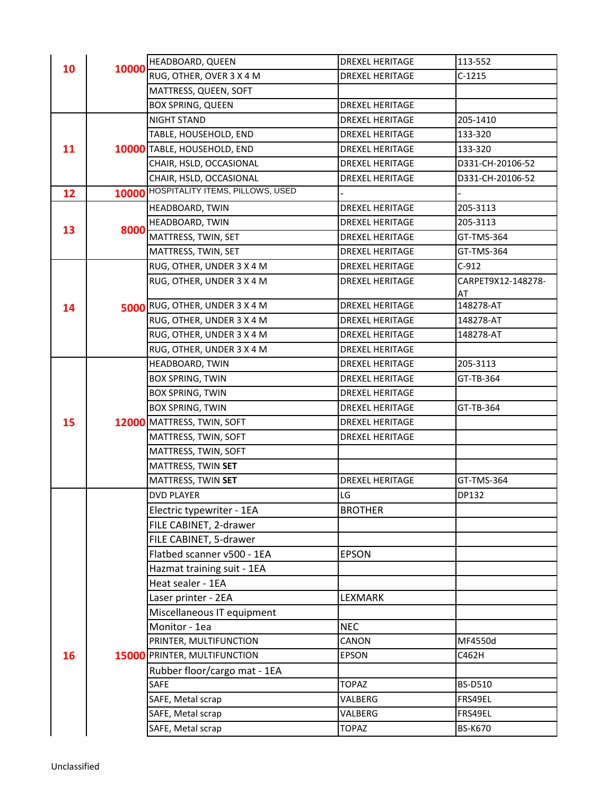|    |       | HEADBOARD, QUEEN                 | <b>DREXEL HERITAGE</b> | 113-552                  |
|----|-------|----------------------------------|------------------------|--------------------------|
| 10 | 10000 | RUG, OTHER, OVER 3 X 4 M         | <b>DREXEL HERITAGE</b> | $C-1215$                 |
|    |       | MATTRESS, QUEEN, SOFT            |                        |                          |
|    |       | <b>BOX SPRING, QUEEN</b>         | <b>DREXEL HERITAGE</b> |                          |
|    |       | <b>NIGHT STAND</b>               | <b>DREXEL HERITAGE</b> | 205-1410                 |
|    |       | TABLE, HOUSEHOLD, END            | <b>DREXEL HERITAGE</b> | 133-320                  |
| 11 |       | 10000 TABLE, HOUSEHOLD, END      | <b>DREXEL HERITAGE</b> | 133-320                  |
|    |       | CHAIR, HSLD, OCCASIONAL          | <b>DREXEL HERITAGE</b> | D331-CH-20106-52         |
|    |       | CHAIR, HSLD, OCCASIONAL          | <b>DREXEL HERITAGE</b> | D331-CH-20106-52         |
| 12 | 10000 | HOSPITALITY ITEMS, PILLOWS, USED |                        |                          |
|    |       | HEADBOARD, TWIN                  | <b>DREXEL HERITAGE</b> | 205-3113                 |
|    | 8000  | HEADBOARD, TWIN                  | <b>DREXEL HERITAGE</b> | 205-3113                 |
| 13 |       | MATTRESS, TWIN, SET              | <b>DREXEL HERITAGE</b> | GT-TMS-364               |
|    |       | MATTRESS, TWIN, SET              | <b>DREXEL HERITAGE</b> | <b>GT-TMS-364</b>        |
|    |       | RUG, OTHER, UNDER 3 X 4 M        | DREXEL HERITAGE        | $C-912$                  |
|    |       | RUG, OTHER, UNDER 3 X 4 M        | <b>DREXEL HERITAGE</b> | CARPET9X12-148278-<br>AT |
| 14 |       | 5000 RUG, OTHER, UNDER 3 X 4 M   | <b>DREXEL HERITAGE</b> | 148278-AT                |
|    |       | RUG, OTHER, UNDER 3 X 4 M        | <b>DREXEL HERITAGE</b> | 148278-AT                |
|    |       | RUG, OTHER, UNDER 3 X 4 M        | <b>DREXEL HERITAGE</b> | 148278-AT                |
|    |       | RUG, OTHER, UNDER 3 X 4 M        | DREXEL HERITAGE        |                          |
|    |       | HEADBOARD, TWIN                  | <b>DREXEL HERITAGE</b> | 205-3113                 |
| 15 |       | <b>BOX SPRING, TWIN</b>          | <b>DREXEL HERITAGE</b> | GT-TB-364                |
|    |       | <b>BOX SPRING, TWIN</b>          | <b>DREXEL HERITAGE</b> |                          |
|    |       | <b>BOX SPRING, TWIN</b>          | <b>DREXEL HERITAGE</b> | GT-TB-364                |
|    |       | 12000 MATTRESS, TWIN, SOFT       | <b>DREXEL HERITAGE</b> |                          |
|    |       | MATTRESS, TWIN, SOFT             | <b>DREXEL HERITAGE</b> |                          |
|    |       | MATTRESS, TWIN, SOFT             |                        |                          |
|    |       | MATTRESS, TWIN SET               |                        |                          |
|    |       | MATTRESS, TWIN SET               | <b>DREXEL HERITAGE</b> | GT-TMS-364               |
|    |       | <b>DVD PLAYER</b>                | LG                     | DP132                    |
|    |       | Electric typewriter - 1EA        | <b>BROTHER</b>         |                          |
|    |       | FILE CABINET, 2-drawer           |                        |                          |
|    |       | FILE CABINET, 5-drawer           |                        |                          |
|    |       | Flatbed scanner v500 - 1EA       | <b>EPSON</b>           |                          |
|    |       | Hazmat training suit - 1EA       |                        |                          |
|    |       | Heat sealer - 1EA                |                        |                          |
|    |       | Laser printer - 2EA              | LEXMARK                |                          |
|    |       | Miscellaneous IT equipment       |                        |                          |
|    |       | Monitor - 1ea                    | <b>NEC</b>             |                          |
|    |       | PRINTER, MULTIFUNCTION           | CANON                  | MF4550d                  |
| 16 |       | 15000 PRINTER, MULTIFUNCTION     | <b>EPSON</b>           | C462H                    |
|    |       | Rubber floor/cargo mat - 1EA     |                        |                          |
|    |       | SAFE                             | <b>TOPAZ</b>           | <b>BS-D510</b>           |
|    |       | SAFE, Metal scrap                | VALBERG                | FRS49EL                  |
|    |       | SAFE, Metal scrap                | VALBERG                | FRS49EL                  |
|    |       | SAFE, Metal scrap                | <b>TOPAZ</b>           | <b>BS-K670</b>           |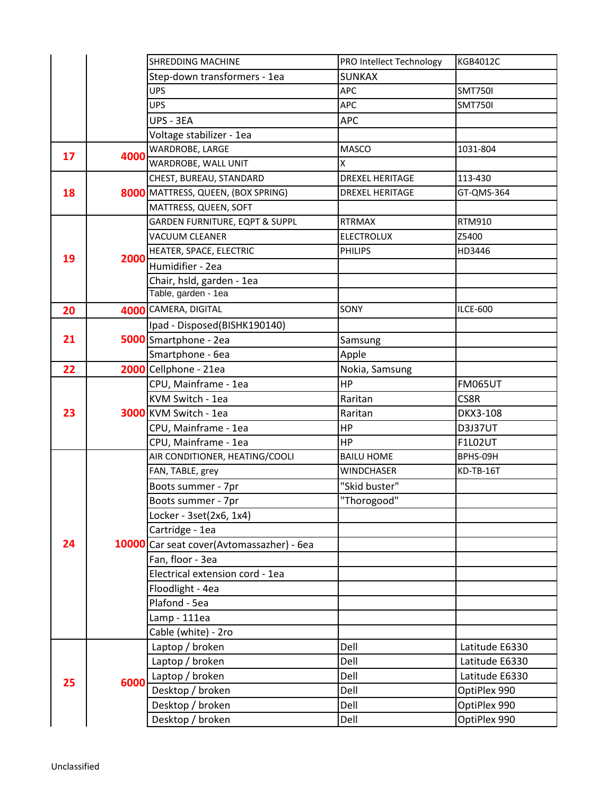|    |      | <b>SHREDDING MACHINE</b>                  | PRO Intellect Technology | <b>KGB4012C</b> |
|----|------|-------------------------------------------|--------------------------|-----------------|
|    |      | Step-down transformers - 1ea              | <b>SUNKAX</b>            |                 |
|    |      | <b>UPS</b>                                | <b>APC</b>               | <b>SMT750I</b>  |
|    |      | <b>UPS</b>                                | <b>APC</b>               | <b>SMT750I</b>  |
|    |      | UPS - 3EA                                 | <b>APC</b>               |                 |
|    |      | Voltage stabilizer - 1ea                  |                          |                 |
| 17 |      | WARDROBE, LARGE                           | <b>MASCO</b>             | 1031-804        |
|    | 4000 | WARDROBE, WALL UNIT                       | X                        |                 |
|    |      | CHEST, BUREAU, STANDARD                   | <b>DREXEL HERITAGE</b>   | 113-430         |
| 18 |      | 8000 MATTRESS, QUEEN, (BOX SPRING)        | <b>DREXEL HERITAGE</b>   | GT-QMS-364      |
|    |      | MATTRESS, QUEEN, SOFT                     |                          |                 |
|    |      | GARDEN FURNITURE, EQPT & SUPPL            | <b>RTRMAX</b>            | RTM910          |
|    |      | VACUUM CLEANER                            | <b>ELECTROLUX</b>        | Z5400           |
|    |      | HEATER, SPACE, ELECTRIC                   | <b>PHILIPS</b>           | HD3446          |
| 19 | 2000 | Humidifier - 2ea                          |                          |                 |
|    |      | Chair, hsld, garden - 1ea                 |                          |                 |
|    |      | Table, garden - 1ea                       |                          |                 |
| 20 |      | 4000 CAMERA, DIGITAL                      | SONY                     | <b>ILCE-600</b> |
|    |      | Ipad - Disposed(BISHK190140)              |                          |                 |
| 21 |      | 5000 Smartphone - 2ea                     | Samsung                  |                 |
|    |      | Smartphone - 6ea                          | Apple                    |                 |
| 22 |      | 2000 Cellphone - 21ea                     | Nokia, Samsung           |                 |
| 23 |      | CPU, Mainframe - 1ea                      | <b>HP</b>                | <b>FM065UT</b>  |
|    |      | KVM Switch - 1ea                          | Raritan                  | CS8R            |
|    |      | 3000 KVM Switch - 1ea                     | Raritan                  | DKX3-108        |
|    |      | CPU, Mainframe - 1ea                      | HP                       | <b>D3J37UT</b>  |
|    |      | CPU, Mainframe - 1ea                      | <b>HP</b>                | <b>F1L02UT</b>  |
| 24 |      | AIR CONDITIONER, HEATING/COOLI            | <b>BAILU HOME</b>        | BPHS-09H        |
|    |      | FAN, TABLE, grey                          | WINDCHASER               | KD-TB-16T       |
|    |      | Boots summer - 7pr                        | "Skid buster"            |                 |
|    |      | Boots summer - 7pr                        | "Thorogood"              |                 |
|    |      | Locker - 3set(2x6, 1x4)                   |                          |                 |
|    |      | Cartridge - 1ea                           |                          |                 |
|    |      | 10000 Car seat cover(Avtomassazher) - 6ea |                          |                 |
|    |      | Fan, floor - 3ea                          |                          |                 |
|    |      | Electrical extension cord - 1ea           |                          |                 |
|    |      | Floodlight - 4ea                          |                          |                 |
|    |      | Plafond - 5ea                             |                          |                 |
|    |      | Lamp - 111ea                              |                          |                 |
|    |      | Cable (white) - 2ro                       |                          |                 |
|    | 6000 | Laptop / broken                           | Dell                     | Latitude E6330  |
|    |      | Laptop / broken                           | Dell                     | Latitude E6330  |
| 25 |      | Laptop / broken                           | Dell                     | Latitude E6330  |
|    |      | Desktop / broken                          | Dell                     | OptiPlex 990    |
|    |      | Desktop / broken                          | Dell                     | OptiPlex 990    |
|    |      | Desktop / broken                          | Dell                     | OptiPlex 990    |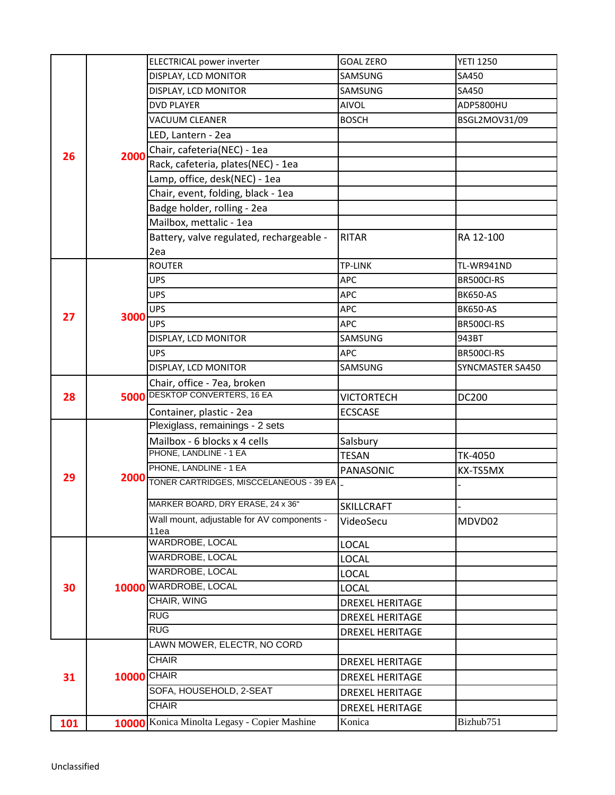|     |             | <b>ELECTRICAL power inverter</b>              | <b>GOAL ZERO</b>       | <b>YETI 1250</b> |
|-----|-------------|-----------------------------------------------|------------------------|------------------|
|     |             | DISPLAY, LCD MONITOR                          | SAMSUNG                | SA450            |
|     |             | DISPLAY, LCD MONITOR                          | SAMSUNG                | SA450            |
|     |             | <b>DVD PLAYER</b>                             | AIVOL                  | ADP5800HU        |
|     |             | <b>VACUUM CLEANER</b>                         | <b>BOSCH</b>           | BSGL2MOV31/09    |
|     |             | LED, Lantern - 2ea                            |                        |                  |
|     |             | Chair, cafeteria(NEC) - 1ea                   |                        |                  |
| 26  | 2000        | Rack, cafeteria, plates(NEC) - 1ea            |                        |                  |
|     |             | Lamp, office, desk(NEC) - 1ea                 |                        |                  |
|     |             | Chair, event, folding, black - 1ea            |                        |                  |
|     |             | Badge holder, rolling - 2ea                   |                        |                  |
|     |             | Mailbox, mettalic - 1ea                       |                        |                  |
|     |             | Battery, valve regulated, rechargeable -      | <b>RITAR</b>           | RA 12-100        |
|     |             | 2ea                                           |                        |                  |
|     |             | <b>ROUTER</b>                                 | TP-LINK                | TL-WR941ND       |
|     |             | <b>UPS</b>                                    | APC                    | BR500CI-RS       |
|     |             | <b>UPS</b>                                    | APC                    | <b>BK650-AS</b>  |
|     |             | <b>UPS</b>                                    | <b>APC</b>             | <b>BK650-AS</b>  |
| 27  | 3000        | <b>UPS</b>                                    | <b>APC</b>             | BR500CI-RS       |
|     |             | DISPLAY, LCD MONITOR                          | SAMSUNG                | 943BT            |
|     |             | <b>UPS</b>                                    | APC                    | BR500CI-RS       |
|     |             | DISPLAY, LCD MONITOR                          | SAMSUNG                | SYNCMASTER SA450 |
|     |             | Chair, office - 7ea, broken                   |                        |                  |
| 28  |             | <b>5000 DESKTOP CONVERTERS, 16 EA</b>         | VICTORTECH             | DC200            |
|     |             | Container, plastic - 2ea                      | <b>ECSCASE</b>         |                  |
|     |             | Plexiglass, remainings - 2 sets               |                        |                  |
|     |             | Mailbox - 6 blocks x 4 cells                  | Salsbury               |                  |
|     |             | PHONE, LANDLINE - 1 EA                        | <b>TESAN</b>           | TK-4050          |
|     |             | PHONE, LANDLINE - 1 EA                        | PANASONIC              | KX-TS5MX         |
| 29  | 10000       | 2000 TONER CARTRIDGES, MISCCELANEOUS - 39 EA. |                        |                  |
|     |             | MARKER BOARD, DRY ERASE, 24 x 36"             |                        |                  |
|     |             | Wall mount, adjustable for AV components -    | <b>SKILLCRAFT</b>      |                  |
|     |             | 11ea                                          | VideoSecu              | MDVD02           |
|     |             | WARDROBE, LOCAL                               | <b>LOCAL</b>           |                  |
| 30  |             | <b>WARDROBE, LOCAL</b>                        | <b>LOCAL</b>           |                  |
|     |             | <b>WARDROBE, LOCAL</b>                        | <b>LOCAL</b>           |                  |
|     |             | WARDROBE, LOCAL                               | <b>LOCAL</b>           |                  |
|     |             | CHAIR, WING                                   | <b>DREXEL HERITAGE</b> |                  |
|     |             | <b>RUG</b>                                    | <b>DREXEL HERITAGE</b> |                  |
|     |             | RUG                                           | <b>DREXEL HERITAGE</b> |                  |
|     | 10000 CHAIR | LAWN MOWER, ELECTR, NO CORD                   |                        |                  |
|     |             | <b>CHAIR</b>                                  | <b>DREXEL HERITAGE</b> |                  |
| 31  |             |                                               | <b>DREXEL HERITAGE</b> |                  |
|     |             | SOFA, HOUSEHOLD, 2-SEAT                       | <b>DREXEL HERITAGE</b> |                  |
|     |             | <b>CHAIR</b>                                  | <b>DREXEL HERITAGE</b> |                  |
| 101 |             | 10000 Konica Minolta Legasy - Copier Mashine  | Konica                 | Bizhub751        |
|     |             |                                               |                        |                  |